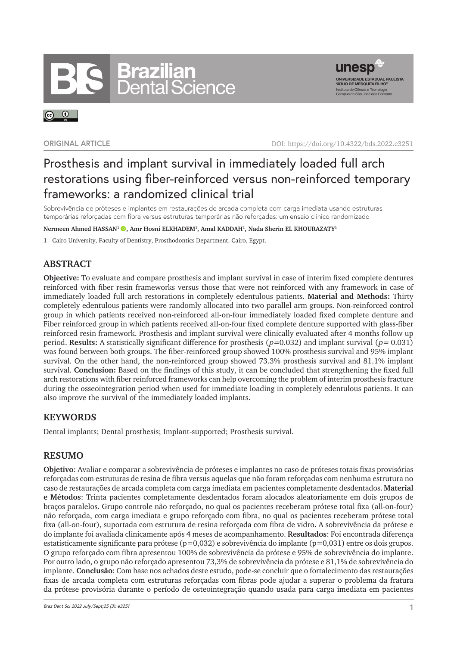# **Brazilian<br>Dental Science**



 $\boxed{6}$   $\boxed{0}$ 

**ORIGINAL ARTICLE** DOI: https://doi.org/10.4322/bds.2022.e3251

# Prosthesis and implant survival in immediately loaded full arch restorations using fiber-reinforced versus non-reinforced temporary frameworks: a randomized clinical trial

Sobrevivência de próteses e implantes em restaurações de arcada completa com carga imediata usando estruturas temporárias reforçadas com fibra versus estruturas temporárias não reforçadas: um ensaio clínico randomizado

**Nermeen Ahmed HASSAN1 , Amr Hosni ELKHADEM1, Amal KADDAH1, Nada Sherin EL KHOURAZATY1**

1 - Cairo University, Faculty of Dentistry, Prosthodontics Department. Cairo, Egypt.

# **ABSTRACT**

**Objective:** To evaluate and compare prosthesis and implant survival in case of interim fixed complete dentures reinforced with fiber resin frameworks versus those that were not reinforced with any framework in case of immediately loaded full arch restorations in completely edentulous patients. **Material and Methods:** Thirty completely edentulous patients were randomly allocated into two parallel arm groups. Non-reinforced control group in which patients received non-reinforced all-on-four immediately loaded fixed complete denture and Fiber reinforced group in which patients received all-on-four fixed complete denture supported with glass-fiber reinforced resin framework. Prosthesis and implant survival were clinically evaluated after 4 months follow up period. **Results:** A statistically significant difference for prosthesis ( $p=0.032$ ) and implant survival ( $p=0.031$ ) was found between both groups. The fiber-reinforced group showed 100% prosthesis survival and 95% implant survival. On the other hand, the non-reinforced group showed 73.3% prosthesis survival and 81.1% implant survival. **Conclusion:** Based on the findings of this study, it can be concluded that strengthening the fixed full arch restorations with fiber reinforced frameworks can help overcoming the problem of interim prosthesis fracture during the osseointegration period when used for immediate loading in completely edentulous patients. It can also improve the survival of the immediately loaded implants.

# **KEYWORDS**

Dental implants; Dental prosthesis; Implant-supported; Prosthesis survival.

# **RESUMO**

**Objetivo**: Avaliar e comparar a sobrevivência de próteses e implantes no caso de próteses totais fixas provisórias reforçadas com estruturas de resina de fibra versus aquelas que não foram reforçadas com nenhuma estrutura no caso de restaurações de arcada completa com carga imediata em pacientes completamente desdentados. **Material e Métodos**: Trinta pacientes completamente desdentados foram alocados aleatoriamente em dois grupos de braços paralelos. Grupo controle não reforçado, no qual os pacientes receberam prótese total fixa (all-on-four) não reforçada, com carga imediata e grupo reforçado com fibra, no qual os pacientes receberam prótese total fixa (all-on-four), suportada com estrutura de resina reforçada com fibra de vidro. A sobrevivência da prótese e do implante foi avaliada clinicamente após 4 meses de acompanhamento. **Resultados**: Foi encontrada diferença estatisticamente significante para prótese (p=0,032) e sobrevivência do implante (p=0,031) entre os dois grupos. O grupo reforçado com fibra apresentou 100% de sobrevivência da prótese e 95% de sobrevivência do implante. Por outro lado, o grupo não reforçado apresentou 73,3% de sobrevivência da prótese e 81,1% de sobrevivência do implante. **Conclusão**: Com base nos achados deste estudo, pode-se concluir que o fortalecimento das restaurações fixas de arcada completa com estruturas reforçadas com fibras pode ajudar a superar o problema da fratura da prótese provisória durante o período de osteointegração quando usada para carga imediata em pacientes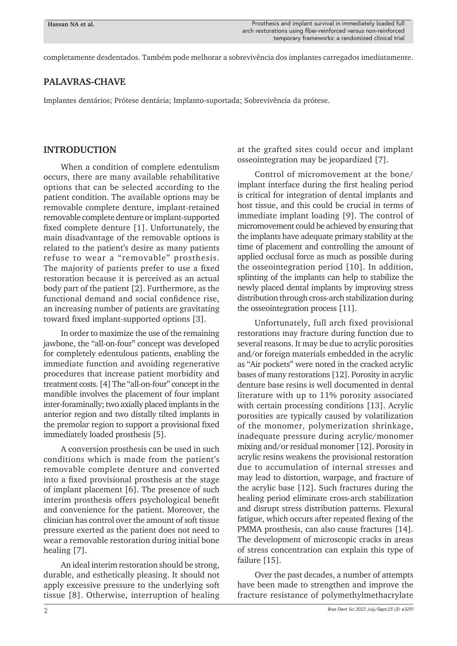completamente desdentados. Também pode melhorar a sobrevivência dos implantes carregados imediatamente.

# **PALAVRAS-CHAVE**

Implantes dentários; Prótese dentária; Implanto-suportada; Sobrevivência da prótese.

# **INTRODUCTION**

When a condition of complete edentulism occurs, there are many available rehabilitative options that can be selected according to the patient condition. The available options may be removable complete denture, implant-retained removable complete denture or implant-supported fixed complete denture [1]. Unfortunately, the main disadvantage of the removable options is related to the patient's desire as many patients refuse to wear a "removable" prosthesis. The majority of patients prefer to use a fixed restoration because it is perceived as an actual body part of the patient [2]. Furthermore, as the functional demand and social confidence rise, an increasing number of patients are gravitating toward fixed implant-supported options [3].

In order to maximize the use of the remaining jawbone, the "all-on-four" concept was developed for completely edentulous patients, enabling the immediate function and avoiding regenerative procedures that increase patient morbidity and treatment costs. [4] The "all-on-four" concept in the mandible involves the placement of four implant inter-foraminally; two axially placed implants in the anterior region and two distally tilted implants in the premolar region to support a provisional fixed immediately loaded prosthesis [5].

A conversion prosthesis can be used in such conditions which is made from the patient's removable complete denture and converted into a fixed provisional prosthesis at the stage of implant placement [6]. The presence of such interim prosthesis offers psychological benefit and convenience for the patient. Moreover, the clinician has control over the amount of soft tissue pressure exerted as the patient does not need to wear a removable restoration during initial bone healing [7].

An ideal interim restoration should be strong, durable, and esthetically pleasing. It should not apply excessive pressure to the underlying soft tissue [8]. Otherwise, interruption of healing

at the grafted sites could occur and implant osseointegration may be jeopardized [7].

Control of micromovement at the bone/ implant interface during the first healing period is critical for integration of dental implants and host tissue, and this could be crucial in terms of immediate implant loading [9]. The control of micromovement could be achieved by ensuring that the implants have adequate primary stability at the time of placement and controlling the amount of applied occlusal force as much as possible during the osseointegration period [10]. In addition, splinting of the implants can help to stabilize the newly placed dental implants by improving stress distribution through cross-arch stabilization during the osseointegration process [11].

Unfortunately, full arch fixed provisional restorations may fracture during function due to several reasons. It may be due to acrylic porosities and/or foreign materials embedded in the acrylic as "Air pockets" were noted in the cracked acrylic bases of many restorations [12]. Porosity in acrylic denture base resins is well documented in dental literature with up to 11% porosity associated with certain processing conditions [13]. Acrylic porosities are typically caused by volatilization of the monomer, polymerization shrinkage, inadequate pressure during acrylic/monomer mixing and/or residual monomer [12]. Porosity in acrylic resins weakens the provisional restoration due to accumulation of internal stresses and may lead to distortion, warpage, and fracture of the acrylic base [12]. Such fractures during the healing period eliminate cross-arch stabilization and disrupt stress distribution patterns. Flexural fatigue, which occurs after repeated flexing of the PMMA prosthesis, can also cause fractures [14]. The development of microscopic cracks in areas of stress concentration can explain this type of failure [15].

Over the past decades, a number of attempts have been made to strengthen and improve the fracture resistance of polymethylmethacrylate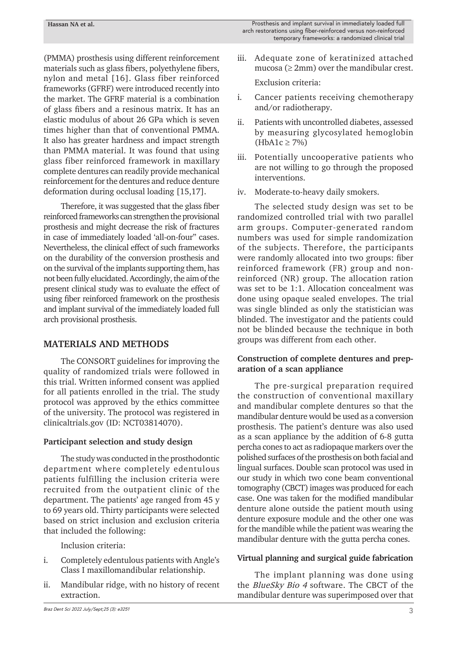(PMMA) prosthesis using different reinforcement materials such as glass fibers, polyethylene fibers, nylon and metal [16]. Glass fiber reinforced frameworks (GFRF) were introduced recently into the market. The GFRF material is a combination of glass fibers and a resinous matrix. It has an elastic modulus of about 26 GPa which is seven times higher than that of conventional PMMA. It also has greater hardness and impact strength than PMMA material. It was found that using glass fiber reinforced framework in maxillary complete dentures can readily provide mechanical reinforcement for the dentures and reduce denture deformation during occlusal loading [15,17].

Therefore, it was suggested that the glass fiber reinforced frameworks can strengthen the provisional prosthesis and might decrease the risk of fractures in case of immediately loaded 'all-on-four" cases. Nevertheless, the clinical effect of such frameworks on the durability of the conversion prosthesis and on the survival of the implants supporting them, has not been fully elucidated. Accordingly, the aim of the present clinical study was to evaluate the effect of using fiber reinforced framework on the prosthesis and implant survival of the immediately loaded full arch provisional prosthesis.

# **MATERIALS AND METHODS**

The CONSORT guidelines for improving the quality of randomized trials were followed in this trial. Written informed consent was applied for all patients enrolled in the trial. The study protocol was approved by the ethics committee of the university. The protocol was registered in clinicaltrials.gov (ID: NCT03814070).

# **Participant selection and study design**

The study was conducted in the prosthodontic department where completely edentulous patients fulfilling the inclusion criteria were recruited from the outpatient clinic of the department. The patients' age ranged from 45 y to 69 years old. Thirty participants were selected based on strict inclusion and exclusion criteria that included the following:

Inclusion criteria:

- i. Completely edentulous patients with Angle's Class I maxillomandibular relationship.
- ii. Mandibular ridge, with no history of recent extraction.

iii. Adequate zone of keratinized attached mucosa ( $\geq 2$ mm) over the mandibular crest.

Exclusion criteria:

- i. Cancer patients receiving chemotherapy and/or radiotherapy.
- ii. Patients with uncontrolled diabetes, assessed by measuring glycosylated hemoglobin  $(HbA1c \geq 7\%)$
- iii. Potentially uncooperative patients who are not willing to go through the proposed interventions.
- iv. Moderate-to-heavy daily smokers.

The selected study design was set to be randomized controlled trial with two parallel arm groups. Computer-generated random numbers was used for simple randomization of the subjects. Therefore, the participants were randomly allocated into two groups: fiber reinforced framework (FR) group and nonreinforced (NR) group. The allocation ration was set to be 1:1. Allocation concealment was done using opaque sealed envelopes. The trial was single blinded as only the statistician was blinded. The investigator and the patients could not be blinded because the technique in both groups was different from each other.

# **Construction of complete dentures and preparation of a scan appliance**

The pre-surgical preparation required the construction of conventional maxillary and mandibular complete dentures so that the mandibular denture would be used as a conversion prosthesis. The patient's denture was also used as a scan appliance by the addition of 6-8 gutta percha cones to act as radiopaque markers over the polished surfaces of the prosthesis on both facial and lingual surfaces. Double scan protocol was used in our study in which two cone beam conventional tomography (CBCT) images was produced for each case. One was taken for the modified mandibular denture alone outside the patient mouth using denture exposure module and the other one was for the mandible while the patient was wearing the mandibular denture with the gutta percha cones.

# **Virtual planning and surgical guide fabrication**

The implant planning was done using the BlueSky Bio 4 software. The CBCT of the mandibular denture was superimposed over that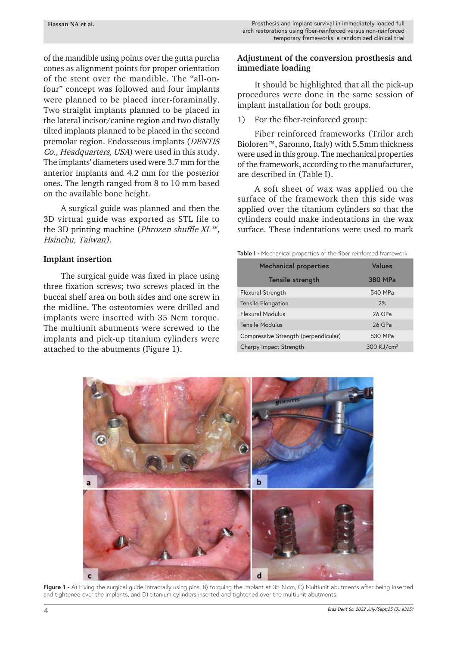of the mandible using points over the gutta purcha cones as alignment points for proper orientation of the stent over the mandible. The "all-onfour" concept was followed and four implants were planned to be placed inter-foraminally. Two straight implants planned to be placed in the lateral incisor/canine region and two distally tilted implants planned to be placed in the second premolar region. Endosseous implants (DENTIS Co., Headquarters, USA) were used in this study. The implants' diameters used were 3.7 mm for the anterior implants and 4.2 mm for the posterior ones. The length ranged from 8 to 10 mm based on the available bone height.

A surgical guide was planned and then the 3D virtual guide was exported as STL file to the 3D printing machine (*Phrozen shuffle XL*<sup>™</sup>, Hsinchu, Taiwan).

# **Implant insertion**

The surgical guide was fixed in place using three fixation screws; two screws placed in the buccal shelf area on both sides and one screw in the midline. The osteotomies were drilled and implants were inserted with 35 Ncm torque. The multiunit abutments were screwed to the implants and pick-up titanium cylinders were attached to the abutments (Figure 1).

# **Adjustment of the conversion prosthesis and immediate loading**

It should be highlighted that all the pick-up procedures were done in the same session of implant installation for both groups.

1) For the fiber-reinforced group:

Fiber reinforced frameworks (Trilor arch Bioloren™, Saronno, Italy) with 5.5mm thickness were used in this group. The mechanical properties of the framework, according to the manufacturer, are described in (Table I).

A soft sheet of wax was applied on the surface of the framework then this side was applied over the titanium cylinders so that the cylinders could make indentations in the wax surface. These indentations were used to mark

**Table I -** Mechanical properties of the fiber reinforced framework

| <b>Mechanical properties</b>         | Values                 |  |  |
|--------------------------------------|------------------------|--|--|
| Tensile strength                     | 380 MPa                |  |  |
| Flexural Strength                    | 540 MPa                |  |  |
| <b>Tensile Elongation</b>            | 2%                     |  |  |
| <b>Flexural Modulus</b>              | $26$ GPa               |  |  |
| <b>Tensile Modulus</b>               | 26 GPa                 |  |  |
| Compressive Strength (perpendicular) | 530 MPa                |  |  |
| Charpy Impact Strength               | 300 KJ/cm <sup>2</sup> |  |  |



**Figure 1 -** A) Fixing the surgical guide intraorally using pins, B) torquing the implant at 35 N.cm, C) Multiunit abutments after being inserted and tightened over the implants, and D) titanium cylinders inserted and tightened over the multiunit abutments.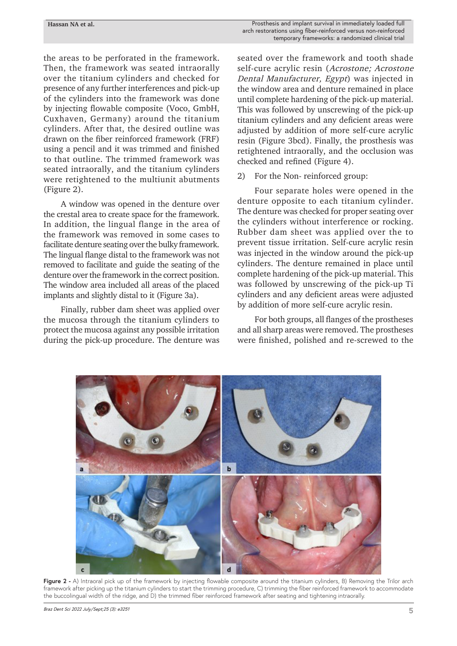the areas to be perforated in the framework. Then, the framework was seated intraorally over the titanium cylinders and checked for presence of any further interferences and pick-up of the cylinders into the framework was done by injecting flowable composite (Voco, GmbH, Cuxhaven, Germany) around the titanium cylinders. After that, the desired outline was drawn on the fiber reinforced framework (FRF) using a pencil and it was trimmed and finished to that outline. The trimmed framework was seated intraorally, and the titanium cylinders were retightened to the multiunit abutments (Figure 2).

A window was opened in the denture over the crestal area to create space for the framework. In addition, the lingual flange in the area of the framework was removed in some cases to facilitate denture seating over the bulky framework. The lingual flange distal to the framework was not removed to facilitate and guide the seating of the denture over the framework in the correct position. The window area included all areas of the placed implants and slightly distal to it (Figure 3a).

Finally, rubber dam sheet was applied over the mucosa through the titanium cylinders to protect the mucosa against any possible irritation during the pick-up procedure. The denture was seated over the framework and tooth shade self-cure acrylic resin (Acrostone; Acrostone Dental Manufacturer, Egypt) was injected in the window area and denture remained in place until complete hardening of the pick-up material. This was followed by unscrewing of the pick-up titanium cylinders and any deficient areas were adjusted by addition of more self-cure acrylic resin (Figure 3bcd). Finally, the prosthesis was retightened intraorally, and the occlusion was checked and refined (Figure 4).

### 2) For the Non- reinforced group:

Four separate holes were opened in the denture opposite to each titanium cylinder. The denture was checked for proper seating over the cylinders without interference or rocking. Rubber dam sheet was applied over the to prevent tissue irritation. Self-cure acrylic resin was injected in the window around the pick-up cylinders. The denture remained in place until complete hardening of the pick-up material. This was followed by unscrewing of the pick-up Ti cylinders and any deficient areas were adjusted by addition of more self-cure acrylic resin.

For both groups, all flanges of the prostheses and all sharp areas were removed. The prostheses were finished, polished and re-screwed to the



Figure 2 - A) Intraoral pick up of the framework by injecting flowable composite around the titanium cylinders, B) Removing the Trilor arch framework after picking up the titanium cylinders to start the trimming procedure, C) trimming the fiber reinforced framework to accommodate the buccolingual width of the ridge, and D) the trimmed fiber reinforced framework after seating and tightening intraorally.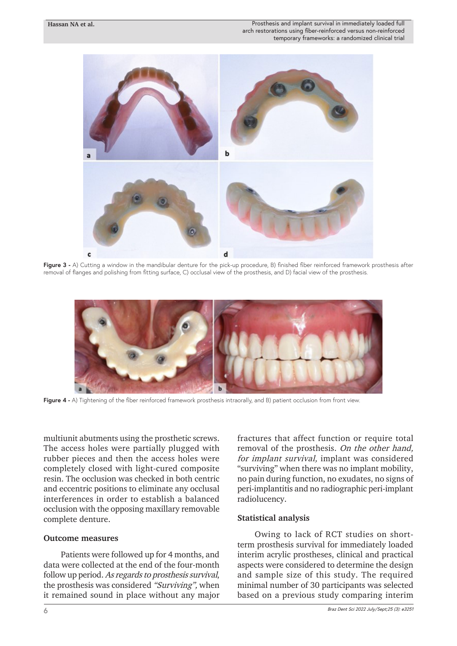arch restorations using fiber-reinforced versus non-reinforced Prosthesis and implant survival in immediately loaded full temporary frameworks: a randomized clinical trial



Figure 3 - A) Cutting a window in the mandibular denture for the pick-up procedure, B) finished fiber reinforced framework prosthesis after removal of flanges and polishing from fitting surface, C) occlusal view of the prosthesis, and D) facial view of the prosthesis.



**Figure 4 -** A) Tightening of the fiber reinforced framework prosthesis intraorally, and B) patient occlusion from front view.

multiunit abutments using the prosthetic screws. The access holes were partially plugged with rubber pieces and then the access holes were completely closed with light-cured composite resin. The occlusion was checked in both centric and eccentric positions to eliminate any occlusal interferences in order to establish a balanced occlusion with the opposing maxillary removable complete denture.

### **Outcome measures**

Patients were followed up for 4 months, and data were collected at the end of the four-month follow up period. As regards to prosthesis survival, the prosthesis was considered "Surviving", when it remained sound in place without any major

fractures that affect function or require total removal of the prosthesis. On the other hand, for implant survival, implant was considered "surviving" when there was no implant mobility, no pain during function, no exudates, no signs of peri-implantitis and no radiographic peri-implant radiolucency.

### **Statistical analysis**

Owing to lack of RCT studies on shortterm prosthesis survival for immediately loaded interim acrylic prostheses, clinical and practical aspects were considered to determine the design and sample size of this study. The required minimal number of 30 participants was selected based on a previous study comparing interim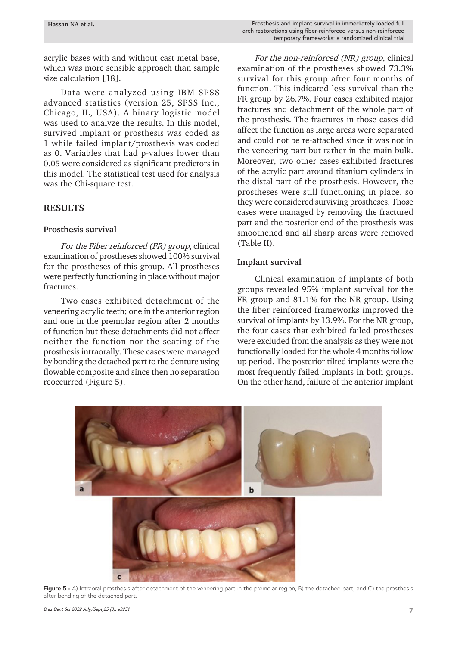acrylic bases with and without cast metal base, which was more sensible approach than sample size calculation [18].

Data were analyzed using IBM SPSS advanced statistics (version 25, SPSS Inc., Chicago, IL, USA). A binary logistic model was used to analyze the results. In this model, survived implant or prosthesis was coded as 1 while failed implant/prosthesis was coded as 0. Variables that had p-values lower than 0.05 were considered as significant predictors in this model. The statistical test used for analysis was the Chi-square test.

## **RESULTS**

### **Prosthesis survival**

For the Fiber reinforced (FR) group, clinical examination of prostheses showed 100% survival for the prostheses of this group. All prostheses were perfectly functioning in place without major fractures.

Two cases exhibited detachment of the veneering acrylic teeth; one in the anterior region and one in the premolar region after 2 months of function but these detachments did not affect neither the function nor the seating of the prosthesis intraorally. These cases were managed by bonding the detached part to the denture using flowable composite and since then no separation reoccurred (Figure 5).

For the non-reinforced (NR) group, clinical examination of the prostheses showed 73.3% survival for this group after four months of function. This indicated less survival than the FR group by 26.7%. Four cases exhibited major fractures and detachment of the whole part of the prosthesis. The fractures in those cases did affect the function as large areas were separated and could not be re-attached since it was not in the veneering part but rather in the main bulk. Moreover, two other cases exhibited fractures of the acrylic part around titanium cylinders in the distal part of the prosthesis. However, the prostheses were still functioning in place, so they were considered surviving prostheses. Those cases were managed by removing the fractured part and the posterior end of the prosthesis was smoothened and all sharp areas were removed (Table II).

### **Implant survival**

Clinical examination of implants of both groups revealed 95% implant survival for the FR group and 81.1% for the NR group. Using the fiber reinforced frameworks improved the survival of implants by 13.9%. For the NR group, the four cases that exhibited failed prostheses were excluded from the analysis as they were not functionally loaded for the whole 4 months follow up period. The posterior tilted implants were the most frequently failed implants in both groups. On the other hand, failure of the anterior implant



Figure 5 - A) Intraoral prosthesis after detachment of the veneering part in the premolar region, B) the detached part, and C) the prosthesis after bonding of the detached part.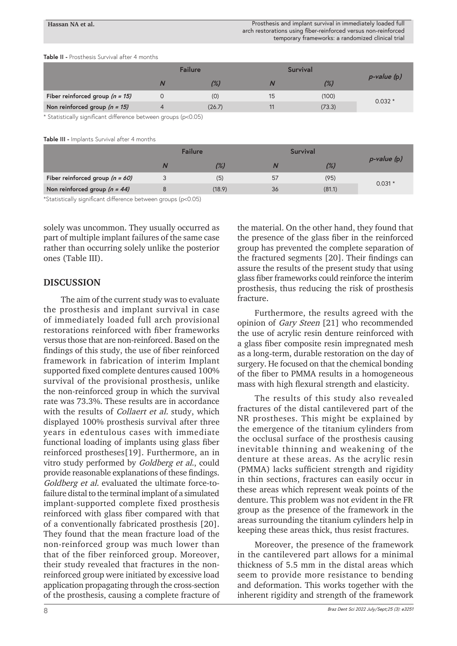**Table II -** Prosthesis Survival after 4 months

| (%)<br>(%)<br>N<br>Fiber reinforced group $(n = 15)$<br>(100)<br>(0)<br>15<br>O<br>$0.032*$ | <b>Failure</b> |  | Survival |  |             |
|---------------------------------------------------------------------------------------------|----------------|--|----------|--|-------------|
|                                                                                             |                |  |          |  | p-value (p) |
|                                                                                             |                |  |          |  |             |
| Non reinforced group $(n = 15)$<br>(73.3)<br>11<br>(26.7)                                   |                |  |          |  |             |

\* Statistically significant difference between groups (p<0.05)

**Table III -** Implants Survival after 4 months

|                                   | Failure |        | <b>Survival</b> |        |             |
|-----------------------------------|---------|--------|-----------------|--------|-------------|
|                                   |         | (%)    |                 | (%)    | p-value (p) |
| Fiber reinforced group $(n = 60)$ |         | (5)    | 57              | (95)   | $0.031*$    |
| Non reinforced group $(n = 44)$   |         | (18.9) | 36              | (81.1) |             |

\*Statistically significant difference between groups (p<0.05)

solely was uncommon. They usually occurred as part of multiple implant failures of the same case rather than occurring solely unlike the posterior ones (Table III).

# **DISCUSSION**

The aim of the current study was to evaluate the prosthesis and implant survival in case of immediately loaded full arch provisional restorations reinforced with fiber frameworks versus those that are non-reinforced. Based on the findings of this study, the use of fiber reinforced framework in fabrication of interim Implant supported fixed complete dentures caused 100% survival of the provisional prosthesis, unlike the non-reinforced group in which the survival rate was 73.3%. These results are in accordance with the results of *Collaert et al.* study, which displayed 100% prosthesis survival after three years in edentulous cases with immediate functional loading of implants using glass fiber reinforced prostheses[19]. Furthermore, an in vitro study performed by Goldberg et al., could provide reasonable explanations of these findings. Goldberg et al. evaluated the ultimate force-tofailure distal to the terminal implant of a simulated implant-supported complete fixed prosthesis reinforced with glass fiber compared with that of a conventionally fabricated prosthesis [20]. They found that the mean fracture load of the non-reinforced group was much lower than that of the fiber reinforced group. Moreover, their study revealed that fractures in the nonreinforced group were initiated by excessive load application propagating through the cross-section of the prosthesis, causing a complete fracture of

the material. On the other hand, they found that the presence of the glass fiber in the reinforced group has prevented the complete separation of the fractured segments [20]. Their findings can assure the results of the present study that using glass fiber frameworks could reinforce the interim prosthesis, thus reducing the risk of prosthesis fracture.

Furthermore, the results agreed with the opinion of Gary Steen [21] who recommended the use of acrylic resin denture reinforced with a glass fiber composite resin impregnated mesh as a long‐term, durable restoration on the day of surgery. He focused on that the chemical bonding of the fiber to PMMA results in a homogeneous mass with high flexural strength and elasticity.

The results of this study also revealed fractures of the distal cantilevered part of the NR prostheses. This might be explained by the emergence of the titanium cylinders from the occlusal surface of the prosthesis causing inevitable thinning and weakening of the denture at these areas. As the acrylic resin (PMMA) lacks sufficient strength and rigidity in thin sections, fractures can easily occur in these areas which represent weak points of the denture. This problem was not evident in the FR group as the presence of the framework in the areas surrounding the titanium cylinders help in keeping these areas thick, thus resist fractures.

Moreover, the presence of the framework in the cantilevered part allows for a minimal thickness of 5.5 mm in the distal areas which seem to provide more resistance to bending and deformation. This works together with the inherent rigidity and strength of the framework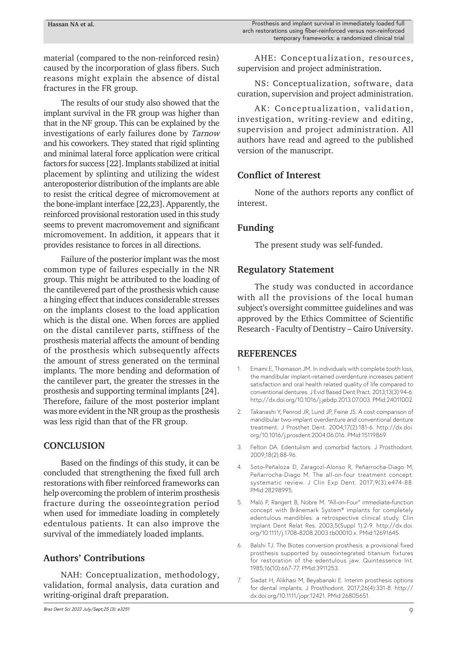material (compared to the non-reinforced resin) caused by the incorporation of glass fibers. Such reasons might explain the absence of distal fractures in the FR group.

The results of our study also showed that the implant survival in the FR group was higher than that in the NF group. This can be explained by the investigations of early failures done by Tarnow and his coworkers. They stated that rigid splinting and minimal lateral force application were critical factors for success [22]. Implants stabilized at initial placement by splinting and utilizing the widest anteroposterior distribution of the implants are able to resist the critical degree of micromovement at the bone-implant interface [22,23]. Apparently, the reinforced provisional restoration used in this study seems to prevent macromovement and significant micromovement. In addition, it appears that it provides resistance to forces in all directions.

Failure of the posterior implant was the most common type of failures especially in the NR group. This might be attributed to the loading of the cantilevered part of the prosthesis which cause a hinging effect that induces considerable stresses on the implants closest to the load application which is the distal one. When forces are applied on the distal cantilever parts, stiffness of the prosthesis material affects the amount of bending of the prosthesis which subsequently affects the amount of stress generated on the terminal implants. The more bending and deformation of the cantilever part, the greater the stresses in the prosthesis and supporting terminal implants [24]. Therefore, failure of the most posterior implant was more evident in the NR group as the prosthesis was less rigid than that of the FR group.

# **CONCLUSION**

Based on the findings of this study, it can be concluded that strengthening the fixed full arch restorations with fiber reinforced frameworks can help overcoming the problem of interim prosthesis fracture during the osseointegration period when used for immediate loading in completely edentulous patients. It can also improve the survival of the immediately loaded implants.

# **Authors' Contributions**

NAH: Conceptualization, methodology, validation, formal analysis, data curation and writing-original draft preparation.

AHE: Conceptualization, resources, supervision and project administration.

NS: Conceptualization, software, data curation, supervision and project administration.

AK: Conceptualization, validation, investigation, writing-review and editing, supervision and project administration. All authors have read and agreed to the published version of the manuscript.

# **Conflict of Interest**

None of the authors reports any conflict of interest.

# **Funding**

The present study was self-funded.

# **Regulatory Statement**

The study was conducted in accordance with all the provisions of the local human subject's oversight committee guidelines and was approved by the Ethics Committee of Scientific Research - Faculty of Dentistry – Cairo University.

# **REFERENCES**

- Emami E, Thomason JM. In individuals with complete tooth loss, the mandibular implant-retained overdenture increases patient satisfaction and oral health related quality of life compared to conventional dentures. J Evid Based Dent Pract. 2013;13(3):94-6. [http://dx.doi.org/10.1016/j.jebdp.2013.07.003](https://doi.org/10.1016/j.jebdp.2013.07.003). [PMid:24011002.](https://www.ncbi.nlm.nih.gov/entrez/query.fcgi?cmd=Retrieve&db=PubMed&list_uids=24011002&dopt=Abstract)
- 2. Takanashi Y, Penrod JR, Lund JP, Feine JS. A cost comparison of mandibular two-implant overdenture and conventional denture treatment. J Prosthet Dent. 2004;17(2):181-6. [http://dx.doi.](https://doi.org/10.1016/j.prosdent.2004.06.016) [org/10.1016/j.prosdent.2004.06.016.](https://doi.org/10.1016/j.prosdent.2004.06.016) [PMid:15119869.](https://www.ncbi.nlm.nih.gov/entrez/query.fcgi?cmd=Retrieve&db=PubMed&list_uids=15119869&dopt=Abstract)
- 3. Felton DA. Edentulism and comorbid factors. J Prosthodont. 2009;18(2):88-96.
- 4. Soto-Peñaloza D, Zaragozí-Alonso R, Peñarrocha-Diago M, Peñarrocha-Diago M. The all-on-four treatment concept: systematic review. J Clin Exp Dent. 2017;9(3):e474-88. [PMid:28298995.](https://www.ncbi.nlm.nih.gov/entrez/query.fcgi?cmd=Retrieve&db=PubMed&list_uids=28298995&dopt=Abstract)
- 5. Maló P, Rangert B, Nobre M. "All‐on‐Four" immediate‐function concept with Brånemark System® implants for completely edentulous mandibles: a retrospective clinical study. Clin Implant Dent Relat Res. 2003;5(Suppl 1):2-9. [http://dx.doi.](https://doi.org/10.1111/j.1708-8208.2003.tb00010.x) [org/10.1111/j.1708-8208.2003.tb00010.x](https://doi.org/10.1111/j.1708-8208.2003.tb00010.x)[. PMid:12691645.](https://www.ncbi.nlm.nih.gov/entrez/query.fcgi?cmd=Retrieve&db=PubMed&list_uids=12691645&dopt=Abstract)
- 6. Balshi TJ. The Biotes conversion prosthesis: a provisional fixed prosthesis supported by osseointegrated titanium fixtures for restoration of the edentulous jaw. Quintessence Int. 1985;16(10):667-77[. PMid:3911253.](https://www.ncbi.nlm.nih.gov/entrez/query.fcgi?cmd=Retrieve&db=PubMed&list_uids=3911253&dopt=Abstract)
- 7. Siadat H, Alikhasi M, Beyabanaki E. Interim prosthesis options for dental implants. J Prosthodont. 2017;26(4):331-8. [http://](https://doi.org/10.1111/jopr.12421) [dx.doi.org/10.1111/jopr.12421](https://doi.org/10.1111/jopr.12421). [PMid:26805651.](https://www.ncbi.nlm.nih.gov/entrez/query.fcgi?cmd=Retrieve&db=PubMed&list_uids=26805651&dopt=Abstract)